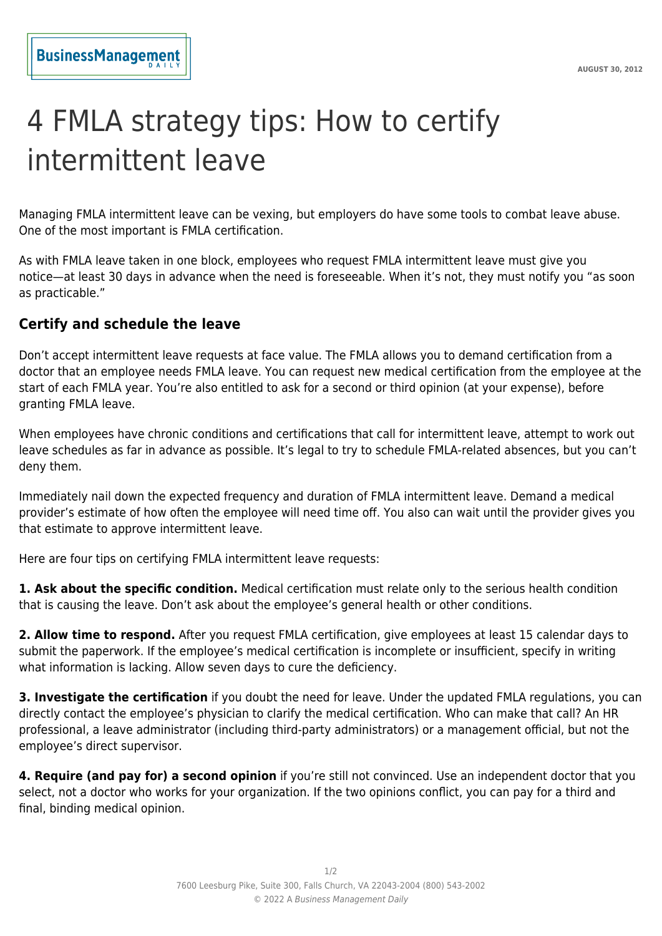## 4 FMLA strategy tips: How to certify intermittent leave

Managing FMLA intermittent leave can be vexing, but employers do have some tools to combat leave abuse. One of the most important is FMLA certification.

As with FMLA leave taken in one block, employees who request FMLA intermittent leave must give you notice—at least 30 days in advance when the need is foreseeable. When it's not, they must notify you "as soon as practicable."

## **Certify and schedule the leave**

Don't accept intermittent leave requests at face value. The FMLA allows you to demand certification from a doctor that an employee needs FMLA leave. You can request new medical certification from the employee at the start of each FMLA year. You're also entitled to ask for a second or third opinion (at your expense), before granting FMLA leave.

When employees have chronic conditions and certifications that call for intermittent leave, attempt to work out leave schedules as far in advance as possible. It's legal to try to schedule FMLA-related absences, but you can't deny them.

Immediately nail down the expected frequency and duration of FMLA intermittent leave. Demand a medical provider's estimate of how often the employee will need time off. You also can wait until the provider gives you that estimate to approve intermittent leave.

Here are four tips on certifying FMLA intermittent leave requests:

**1. Ask about the specific condition.** Medical certification must relate only to the serious health condition that is causing the leave. Don't ask about the employee's general health or other conditions.

**2. Allow time to respond.** After you request FMLA certification, give employees at least 15 calendar days to submit the paperwork. If the employee's medical certification is incomplete or insufficient, specify in writing what information is lacking. Allow seven days to cure the deficiency.

**3. Investigate the certification** if you doubt the need for leave. Under the updated FMLA regulations, you can directly contact the employee's physician to clarify the medical certification. Who can make that call? An HR professional, a leave administrator (including third-party administrators) or a management official, but not the employee's direct supervisor.

**4. Require (and pay for) a second opinion** if you're still not convinced. Use an independent doctor that you select, not a doctor who works for your organization. If the two opinions conflict, you can pay for a third and final, binding medical opinion.